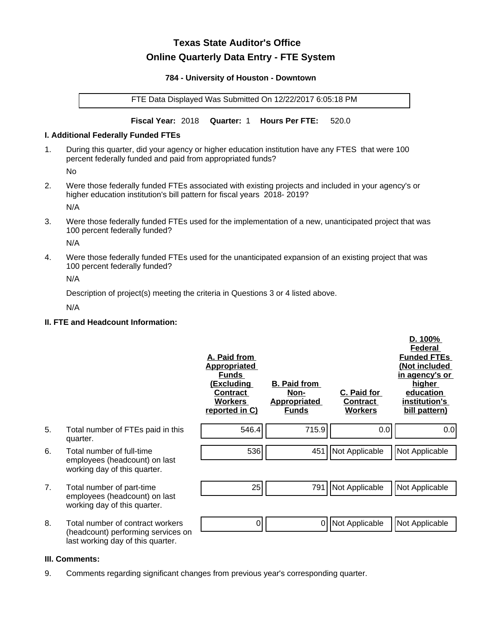# **Texas State Auditor's Office Online Quarterly Data Entry - FTE System**

#### **784 - University of Houston - Downtown**

FTE Data Displayed Was Submitted On 12/22/2017 6:05:18 PM

**Fiscal Year:** 2018 **Quarter:** 1 **Hours Per FTE:** 520.0

#### **I. Additional Federally Funded FTEs**

1. During this quarter, did your agency or higher education institution have any FTES that were 100 percent federally funded and paid from appropriated funds?

No

2. Were those federally funded FTEs associated with existing projects and included in your agency's or higher education institution's bill pattern for fiscal years 2018- 2019?

N/A

3. Were those federally funded FTEs used for the implementation of a new, unanticipated project that was 100 percent federally funded?

N/A

4. Were those federally funded FTEs used for the unanticipated expansion of an existing project that was 100 percent federally funded?

N/A

Description of project(s) meeting the criteria in Questions 3 or 4 listed above.

N/A

## **II. FTE and Headcount Information:**

|    |                                                                                                             | A. Paid from<br><u>Appropriated</u><br><b>Funds</b><br><u>(Excluding</u><br><b>Contract</b><br><b>Workers</b><br>reported in C) | <b>B. Paid from</b><br>Non-<br><b>Appropriated</b><br><b>Funds</b> | C. Paid for<br>Contract<br><b>Workers</b> | D. 100%<br>Federal<br><b>Funded FTEs</b><br>(Not included<br>in agency's or<br>higher<br>education<br>institution's<br>bill pattern) |
|----|-------------------------------------------------------------------------------------------------------------|---------------------------------------------------------------------------------------------------------------------------------|--------------------------------------------------------------------|-------------------------------------------|--------------------------------------------------------------------------------------------------------------------------------------|
| 5. | Total number of FTEs paid in this<br>quarter.                                                               | 546.4                                                                                                                           | 715.9                                                              | 0.0                                       | 0.0                                                                                                                                  |
| 6. | Total number of full-time<br>employees (headcount) on last<br>working day of this quarter.                  | 536                                                                                                                             |                                                                    | 451   Not Applicable                      | Not Applicable                                                                                                                       |
| 7. | Total number of part-time<br>employees (headcount) on last<br>working day of this quarter.                  | 25                                                                                                                              | 791                                                                | Not Applicable                            | Not Applicable                                                                                                                       |
| 8. | Total number of contract workers<br>(headcount) performing services on<br>last working day of this quarter. | 0                                                                                                                               | 0                                                                  | Not Applicable                            | Not Applicable                                                                                                                       |

#### **III. Comments:**

9. Comments regarding significant changes from previous year's corresponding quarter.